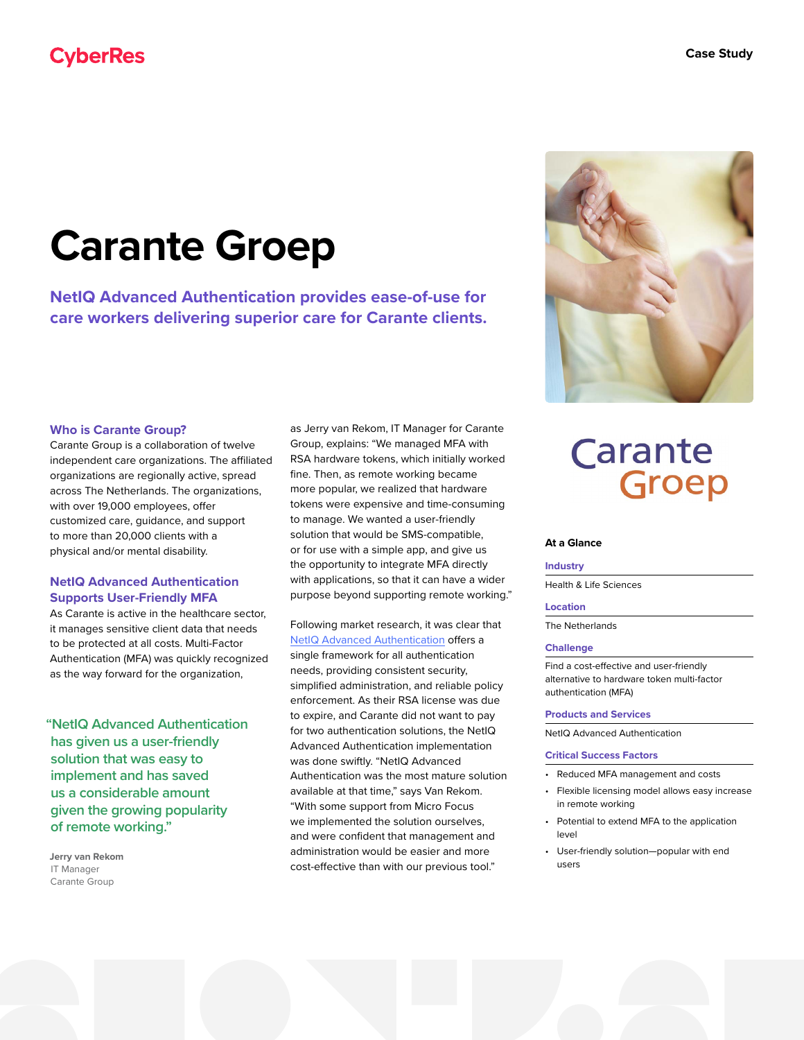### **CyberRes**

# **Carante Groep**

**NetIQ Advanced Authentication provides ease-of-use for care workers delivering superior care for Carante clients.**

#### **Who is Carante Group?**

Carante Group is a collaboration of twelve independent care organizations. The affiliated organizations are regionally active, spread across The Netherlands. The organizations, with over 19,000 employees, offer customized care, guidance, and support to more than 20,000 clients with a physical and/or mental disability.

#### **NetIQ Advanced Authentication Supports User-Friendly MFA**

As Carante is active in the healthcare sector, it manages sensitive client data that needs to be protected at all costs. Multi-Factor Authentication (MFA) was quickly recognized as the way forward for the organization,

**"NetIQ Advanced Authentication has given us a user-friendly solution that was easy to implement and has saved us a considerable amount given the growing popularity of remote working."**

**Jerry van Rekom** IT Manager Carante Group

as Jerry van Rekom, IT Manager for Carante Group, explains: "We managed MFA with RSA hardware tokens, which initially worked fine. Then, as remote working became more popular, we realized that hardware tokens were expensive and time-consuming to manage. We wanted a user-friendly solution that would be SMS-compatible, or for use with a simple app, and give us the opportunity to integrate MFA directly with applications, so that it can have a wider purpose beyond supporting remote working."

Following market research, it was clear that [NetIQ Advanced Authentication](https://www.microfocus.com/en-us/cyberres/identity-access-management/advanced-authentication) offers a single framework for all authentication needs, providing consistent security, simplified administration, and reliable policy enforcement. As their RSA license was due to expire, and Carante did not want to pay for two authentication solutions, the NetIQ Advanced Authentication implementation was done swiftly. "NetIQ Advanced Authentication was the most mature solution available at that time," says Van Rekom. "With some support from Micro Focus we implemented the solution ourselves, and were confident that management and administration would be easier and more cost-effective than with our previous tool."



## Carante Groep

#### **At a Glance**

#### **Industry**

Health & Life Sciences

#### **Location**

The Netherlands

#### **Challenge**

Find a cost-effective and user-friendly alternative to hardware token multi-factor authentication (MFA)

#### **Products and Services**

NetIQ Advanced Authentication

#### **Critical Success Factors**

- Reduced MFA management and costs
- Flexible licensing model allows easy increase in remote working
- Potential to extend MFA to the application level
- User-friendly solution—popular with end users